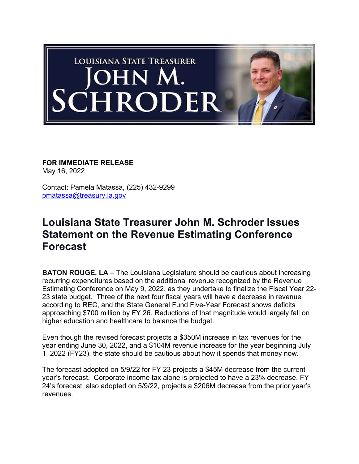

**FOR IMMEDIATE RELEASE** May 16, 2022

Contact: Pamela Matassa, (225) 432-9299 pmatassa@treasury.la.gov

## **Louisiana State Treasurer John M. Schroder Issues Statement on the Revenue Estimating Conference Forecast**

**BATON ROUGE, LA** – The Louisiana Legislature should be cautious about increasing recurring expenditures based on the additional revenue recognized by the Revenue Estimating Conference on May 9, 2022, as they undertake to finalize the Fiscal Year 22- 23 state budget. Three of the next four fiscal years will have a decrease in revenue according to REC, and the State General Fund Five-Year Forecast shows deficits approaching \$700 million by FY 26. Reductions of that magnitude would largely fall on higher education and healthcare to balance the budget.

Even though the revised forecast projects a \$350M increase in tax revenues for the year ending June 30, 2022, and a \$104M revenue increase for the year beginning July 1, 2022 (FY23), the state should be cautious about how it spends that money now.

The forecast adopted on 5/9/22 for FY 23 projects a \$45M decrease from the current year's forecast. Corporate income tax alone is projected to have a 23% decrease. FY 24's forecast, also adopted on 5/9/22, projects a \$206M decrease from the prior year's revenues.